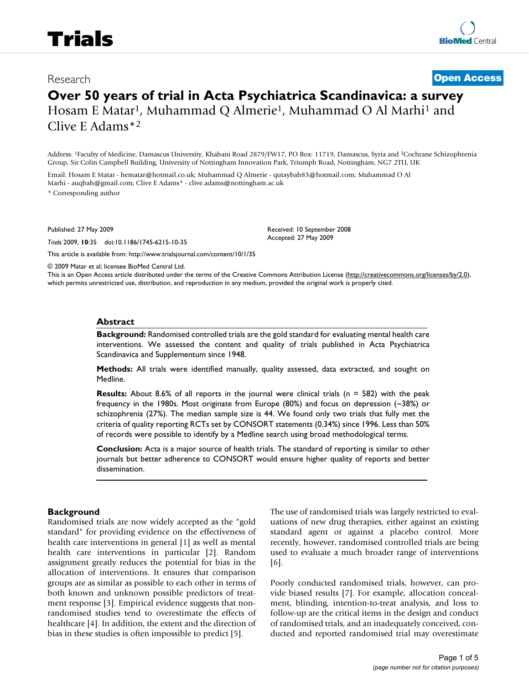# **Over 50 years of trial in Acta Psychiatrica Scandinavica: a survey** Hosam E Matar<sup>1</sup>, Muhammad Q Almerie<sup>1</sup>, Muhammad O Al Marhi<sup>1</sup> and Clive E Adams\*2

Address: 1Faculty of Medicine, Damascus University, Khabani Road 2879/FW17, PO Box: 11719, Damascus, Syria and 2Cochrane Schizophrenia Group, Sir Colin Campbell Building, University of Nottingham Innovation Park, Triumph Road, Nottingham, NG7 2TU, UK

Email: Hosam E Matar - hematar@hotmail.co.uk; Muhammad Q Almerie - qutaybah83@hotmail.com; Muhammad O Al Marhi - auqbah@gmail.com; Clive E Adams\* - clive.adams@nottingham.ac.uk \* Corresponding author

Published: 27 May 2009

*Trials* 2009, **10**:35 doi:10.1186/1745-6215-10-35

[This article is available from: http://www.trialsjournal.com/content/10/1/35](http://www.trialsjournal.com/content/10/1/35)

© 2009 Matar et al; licensee BioMed Central Ltd.

This is an Open Access article distributed under the terms of the Creative Commons Attribution License [\(http://creativecommons.org/licenses/by/2.0\)](http://creativecommons.org/licenses/by/2.0), which permits unrestricted use, distribution, and reproduction in any medium, provided the original work is properly cited.

Received: 10 September 2008 Accepted: 27 May 2009

#### **Abstract**

**Background:** Randomised controlled trials are the gold standard for evaluating mental health care interventions. We assessed the content and quality of trials published in Acta Psychiatrica Scandinavica and Supplementum since 1948.

**Methods:** All trials were identified manually, quality assessed, data extracted, and sought on Medline.

**Results:** About 8.6% of all reports in the journal were clinical trials (n = 582) with the peak frequency in the 1980s. Most originate from Europe (80%) and focus on depression (~38%) or schizophrenia (27%). The median sample size is 44. We found only two trials that fully met the criteria of quality reporting RCTs set by CONSORT statements (0.34%) since 1996. Less than 50% of records were possible to identify by a Medline search using broad methodological terms.

**Conclusion:** Acta is a major source of health trials. The standard of reporting is similar to other journals but better adherence to CONSORT would ensure higher quality of reports and better dissemination.

## **Background**

Randomised trials are now widely accepted as the "gold standard" for providing evidence on the effectiveness of health care interventions in general [1] as well as mental health care interventions in particular [2]. Random assignment greatly reduces the potential for bias in the allocation of interventions. It ensures that comparison groups are as similar as possible to each other in terms of both known and unknown possible predictors of treatment response [3]. Empirical evidence suggests that nonrandomised studies tend to overestimate the effects of healthcare [4]. In addition, the extent and the direction of bias in these studies is often impossible to predict [5].

The use of randomised trials was largely restricted to evaluations of new drug therapies, either against an existing standard agent or against a placebo control. More recently, however, randomised controlled trials are being used to evaluate a much broader range of interventions [6].

Poorly conducted randomised trials, however, can provide biased results [7]. For example, allocation concealment, blinding, intention-to-treat analysis, and loss to follow-up are the critical items in the design and conduct of randomised trials, and an inadequately conceived, conducted and reported randomised trial may overestimate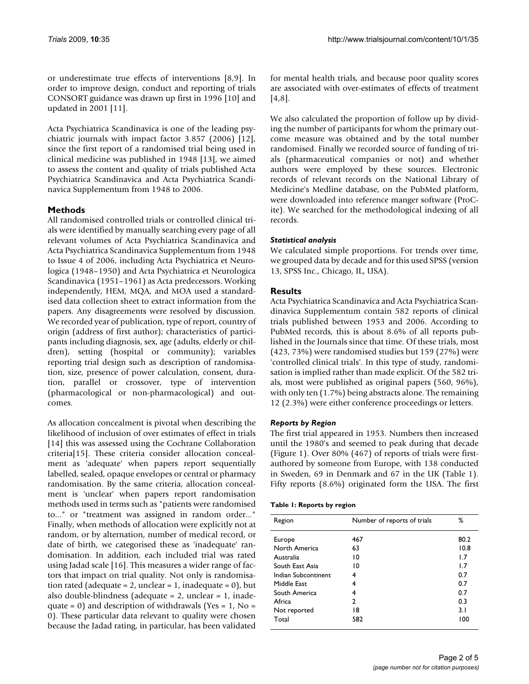or underestimate true effects of interventions [8,9]. In order to improve design, conduct and reporting of trials CONSORT guidance was drawn up first in 1996 [10] and updated in 2001 [11].

Acta Psychiatrica Scandinavica is one of the leading psychiatric journals with impact factor 3.857 (2006) [12], since the first report of a randomised trial being used in clinical medicine was published in 1948 [13], we aimed to assess the content and quality of trials published Acta Psychiatrica Scandinavica and Acta Psychiatrica Scandinavica Supplementum from 1948 to 2006.

# **Methods**

All randomised controlled trials or controlled clinical trials were identified by manually searching every page of all relevant volumes of Acta Psychiatrica Scandinavica and Acta Psychiatrica Scandinavica Supplementum from 1948 to Issue 4 of 2006, including Acta Psychiatrica et Neurologica (1948–1950) and Acta Psychiatrica et Neurologica Scandinavica (1951–1961) as Acta predecessors. Working independently, HEM, MQA, and MOA used a standardised data collection sheet to extract information from the papers. Any disagreements were resolved by discussion. We recorded year of publication, type of report, country of origin (address of first author); characteristics of participants including diagnosis, sex, age (adults, elderly or children), setting (hospital or community); variables reporting trial design such as description of randomisation, size, presence of power calculation, consent, duration, parallel or crossover, type of intervention (pharmacological or non-pharmacological) and outcomes.

As allocation concealment is pivotal when describing the likelihood of inclusion of over estimates of effect in trials [14] this was assessed using the Cochrane Collaboration criteria[15]. These criteria consider allocation concealment as 'adequate' when papers report sequentially labelled, sealed, opaque envelopes or central or pharmacy randomisation. By the same criteria, allocation concealment is 'unclear' when papers report randomisation methods used in terms such as "patients were randomised to..." or "treatment was assigned in random order..." Finally, when methods of allocation were explicitly not at random, or by alternation, number of medical record, or date of birth, we categorised these as 'inadequate' randomisation. In addition, each included trial was rated using Jadad scale [16]. This measures a wider range of factors that impact on trial quality. Not only is randomisation rated (adequate =  $2$ , unclear =  $1$ , inadequate =  $0$ ), but also double-blindness (adequate = 2, unclear = 1, inadequate = 0) and description of withdrawals (Yes =  $1$ , No = 0). These particular data relevant to quality were chosen because the Jadad rating, in particular, has been validated for mental health trials, and because poor quality scores are associated with over-estimates of effects of treatment [4,8].

We also calculated the proportion of follow up by dividing the number of participants for whom the primary outcome measure was obtained and by the total number randomised. Finally we recorded source of funding of trials (pharmaceutical companies or not) and whether authors were employed by these sources. Electronic records of relevant records on the National Library of Medicine's Medline database, on the PubMed platform, were downloaded into reference manger software (ProCite). We searched for the methodological indexing of all records.

## *Statistical analysis*

We calculated simple proportions. For trends over time, we grouped data by decade and for this used SPSS (version 13, SPSS Inc., Chicago, IL, USA).

# **Results**

Acta Psychiatrica Scandinavica and Acta Psychiatrica Scandinavica Supplementum contain 582 reports of clinical trials published between 1953 and 2006. According to PubMed records, this is about 8.6% of all reports published in the Journals since that time. Of these trials, most (423, 73%) were randomised studies but 159 (27%) were 'controlled clinical trials'. In this type of study, randomisation is implied rather than made explicit. Of the 582 trials, most were published as original papers (560, 96%), with only ten (1.7%) being abstracts alone. The remaining 12 (2.3%) were either conference proceedings or letters.

## *Reports by Region*

The first trial appeared in 1953. Numbers then increased until the 1980's and seemed to peak during that decade (Figure 1). Over 80% (467) of reports of trials were firstauthored by someone from Europe, with 138 conducted in Sweden, 69 in Denmark and 67 in the UK (Table 1). Fifty reports (8.6%) originated form the USA. The first

|  |  | Table 1: Reports by region |  |  |
|--|--|----------------------------|--|--|
|--|--|----------------------------|--|--|

| Region              | Number of reports of trials | ℅    |
|---------------------|-----------------------------|------|
| Europe              | 467                         | 80.2 |
| North America       | 63                          | 10.8 |
| Australia           | 10                          | 1.7  |
| South East Asia     | 10                          | 1.7  |
| Indian Subcontinent | 4                           | 0.7  |
| Middle Fast         | 4                           | 0.7  |
| South America       | 4                           | 0.7  |
| Africa              | $\mathcal{P}$               | 0.3  |
| Not reported        | 18                          | 3.1  |
| Total               | 582                         | 100  |
|                     |                             |      |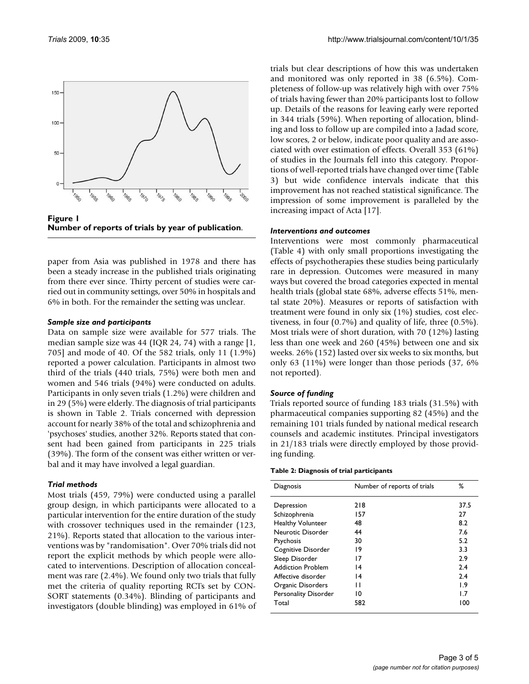



paper from Asia was published in 1978 and there has been a steady increase in the published trials originating from there ever since. Thirty percent of studies were carried out in community settings, over 50% in hospitals and 6% in both. For the remainder the setting was unclear.

#### *Sample size and participants*

Data on sample size were available for 577 trials. The median sample size was 44 (IQR 24, 74) with a range [1, 705] and mode of 40. Of the 582 trials, only 11 (1.9%) reported a power calculation. Participants in almost two third of the trials (440 trials, 75%) were both men and women and 546 trials (94%) were conducted on adults. Participants in only seven trials (1.2%) were children and in 29 (5%) were elderly. The diagnosis of trial participants is shown in Table 2. Trials concerned with depression account for nearly 38% of the total and schizophrenia and 'psychoses' studies, another 32%. Reports stated that consent had been gained from participants in 225 trials (39%). The form of the consent was either written or verbal and it may have involved a legal guardian.

## *Trial methods*

Most trials (459, 79%) were conducted using a parallel group design, in which participants were allocated to a particular intervention for the entire duration of the study with crossover techniques used in the remainder (123, 21%). Reports stated that allocation to the various interventions was by "randomisation". Over 70% trials did not report the explicit methods by which people were allocated to interventions. Description of allocation concealment was rare (2.4%). We found only two trials that fully met the criteria of quality reporting RCTs set by CON-SORT statements (0.34%). Blinding of participants and investigators (double blinding) was employed in 61% of trials but clear descriptions of how this was undertaken and monitored was only reported in 38 (6.5%). Completeness of follow-up was relatively high with over 75% of trials having fewer than 20% participants lost to follow up. Details of the reasons for leaving early were reported in 344 trials (59%). When reporting of allocation, blinding and loss to follow up are compiled into a Jadad score, low scores, 2 or below, indicate poor quality and are associated with over estimation of effects. Overall 353 (61%) of studies in the Journals fell into this category. Proportions of well-reported trials have changed over time (Table 3) but wide confidence intervals indicate that this improvement has not reached statistical significance. The impression of some improvement is paralleled by the increasing impact of Acta [17].

## *Interventions and outcomes*

Interventions were most commonly pharmaceutical (Table 4) with only small proportions investigating the effects of psychotherapies these studies being particularly rare in depression. Outcomes were measured in many ways but covered the broad categories expected in mental health trials (global state 68%, adverse effects 51%, mental state 20%). Measures or reports of satisfaction with treatment were found in only six (1%) studies, cost electiveness, in four (0.7%) and quality of life, three (0.5%). Most trials were of short duration, with 70 (12%) lasting less than one week and 260 (45%) between one and six weeks. 26% (152) lasted over six weeks to six months, but only 63 (11%) were longer than those periods (37, 6% not reported).

## *Source of funding*

Trials reported source of funding 183 trials (31.5%) with pharmaceutical companies supporting 82 (45%) and the remaining 101 trials funded by national medical research counsels and academic institutes. Principal investigators in 21/183 trials were directly employed by those providing funding.

| Table 2: Diagnosis of trial participants |  |
|------------------------------------------|--|
|------------------------------------------|--|

| Diagnosis                | Number of reports of trials | ℅    |
|--------------------------|-----------------------------|------|
| Depression               | 218                         | 37.5 |
| Schizophrenia            | 157                         | 27   |
| <b>Healthy Volunteer</b> | 48                          | 8.2  |
| Neurotic Disorder        | 44                          | 7.6  |
| Psychosis                | 30                          | 5.2  |
| Cognitive Disorder       | 19                          | 3.3  |
| Sleep Disorder           | 17                          | 2.9  |
| <b>Addiction Problem</b> | $\overline{14}$             | 2.4  |
| Affective disorder       | $\overline{14}$             | 2.4  |
| Organic Disorders        | П                           | 1.9  |
| Personality Disorder     | 10                          | 1.7  |
| Total                    | 582                         | 100  |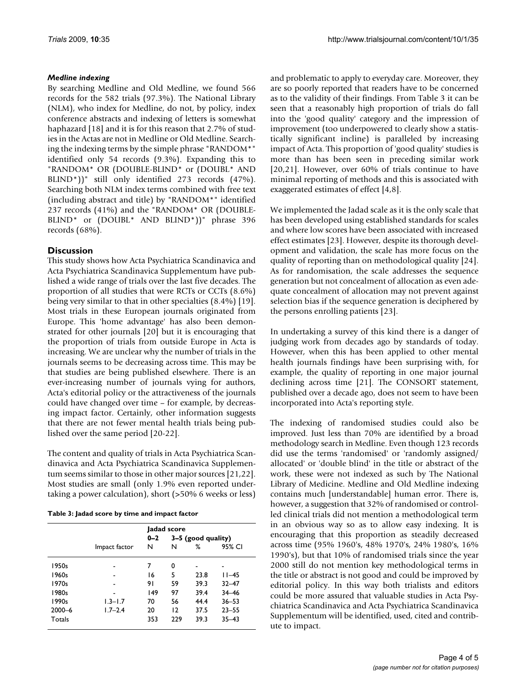## *Medline indexing*

By searching Medline and Old Medline, we found 566 records for the 582 trials (97.3%). The National Library (NLM), who index for Medline, do not, by policy, index conference abstracts and indexing of letters is somewhat haphazard [18] and it is for this reason that 2.7% of studies in the Actas are not in Medline or Old Medline. Searching the indexing terms by the simple phrase "RANDOM\*" identified only 54 records (9.3%). Expanding this to "RANDOM\* OR (DOUBLE-BLIND\* or (DOUBL\* AND BLIND\*))" still only identified 273 records (47%). Searching both NLM index terms combined with free text (including abstract and title) by "RANDOM\*" identified 237 records (41%) and the "RANDOM\* OR (DOUBLE-BLIND\* or (DOUBL\* AND BLIND\*))" phrase 396 records (68%).

# **Discussion**

This study shows how Acta Psychiatrica Scandinavica and Acta Psychiatrica Scandinavica Supplementum have published a wide range of trials over the last five decades. The proportion of all studies that were RCTs or CCTs (8.6%) being very similar to that in other specialties (8.4%) [19]. Most trials in these European journals originated from Europe. This 'home advantage' has also been demonstrated for other journals [20] but it is encouraging that the proportion of trials from outside Europe in Acta is increasing. We are unclear why the number of trials in the journals seems to be decreasing across time. This may be that studies are being published elsewhere. There is an ever-increasing number of journals vying for authors, Acta's editorial policy or the attractiveness of the journals could have changed over time – for example, by decreasing impact factor. Certainly, other information suggests that there are not fewer mental health trials being published over the same period [20-22].

The content and quality of trials in Acta Psychiatrica Scandinavica and Acta Psychiatrica Scandinavica Supplementum seems similar to those in other major sources [21,22]. Most studies are small (only 1.9% even reported undertaking a power calculation), short (>50% 6 weeks or less)

|  |  |  | Table 3: Jadad score by time and impact factor |  |  |
|--|--|--|------------------------------------------------|--|--|
|--|--|--|------------------------------------------------|--|--|

|            |               |                                 | ladad score |      |           |
|------------|---------------|---------------------------------|-------------|------|-----------|
|            |               | $0 - 2$<br>$3-5$ (good quality) |             |      |           |
|            | Impact factor | N                               | N           | ℅    | 95% CI    |
| 1950s      |               | 7                               | 0           |      | -         |
| 1960s      |               | 16                              | 5           | 23.8 | $11 - 45$ |
| 1970s      |               | 91                              | 59          | 39.3 | $32 - 47$ |
| 1980s      |               | 49                              | 97          | 39.4 | $34 - 46$ |
| 1990s      | $1.3 - 1.7$   | 70                              | 56          | 44.4 | $36 - 53$ |
| $2000 - 6$ | $1.7 - 2.4$   | 20                              | 12          | 37.5 | $23 - 55$ |
| Totals     |               | 353                             | 229         | 39.3 | $35 - 43$ |

and problematic to apply to everyday care. Moreover, they are so poorly reported that readers have to be concerned as to the validity of their findings. From Table 3 it can be seen that a reasonably high proportion of trials do fall into the 'good quality' category and the impression of improvement (too underpowered to clearly show a statistically significant incline) is paralleled by increasing impact of Acta. This proportion of 'good quality' studies is more than has been seen in preceding similar work [20,21]. However, over 60% of trials continue to have minimal reporting of methods and this is associated with exaggerated estimates of effect [4,8].

We implemented the Jadad scale as it is the only scale that has been developed using established standards for scales and where low scores have been associated with increased effect estimates [23]. However, despite its thorough development and validation, the scale has more focus on the quality of reporting than on methodological quality [24]. As for randomisation, the scale addresses the sequence generation but not concealment of allocation as even adequate concealment of allocation may not prevent against selection bias if the sequence generation is deciphered by the persons enrolling patients [23].

In undertaking a survey of this kind there is a danger of judging work from decades ago by standards of today. However, when this has been applied to other mental health journals findings have been surprising with, for example, the quality of reporting in one major journal declining across time [21]. The CONSORT statement, published over a decade ago, does not seem to have been incorporated into Acta's reporting style.

The indexing of randomised studies could also be improved. Just less than 70% are identified by a broad methodology search in Medline. Even though 123 records did use the terms 'randomised' or 'randomly assigned/ allocated' or 'double blind' in the title or abstract of the work, these were not indexed as such by The National Library of Medicine. Medline and Old Medline indexing contains much [understandable] human error. There is, however, a suggestion that 32% of randomised or controlled clinical trials did not mention a methodological term in an obvious way so as to allow easy indexing. It is encouraging that this proportion as steadily decreased across time (95% 1960's, 48% 1970's, 24% 1980's, 16% 1990's), but that 10% of randomised trials since the year 2000 still do not mention key methodological terms in the title or abstract is not good and could be improved by editorial policy. In this way both trialists and editors could be more assured that valuable studies in Acta Psychiatrica Scandinavica and Acta Psychiatrica Scandinavica Supplementum will be identified, used, cited and contribute to impact.